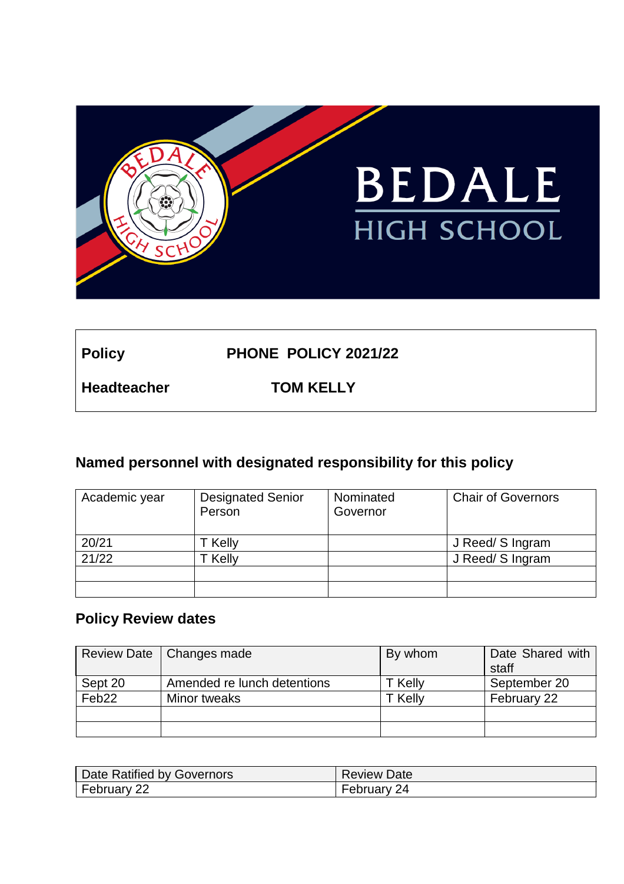

Policy **PHONE POLICY 2021/22** 

**Headteacher TOM KELLY**

# **Named personnel with designated responsibility for this policy**

| Academic year | <b>Designated Senior</b><br>Person | Nominated<br>Governor | <b>Chair of Governors</b> |
|---------------|------------------------------------|-----------------------|---------------------------|
| 20/21         | T Kelly                            |                       | J Reed/ S Ingram          |
| 21/22         | <sup>-</sup> Kelly                 |                       | J Reed/ S Ingram          |
|               |                                    |                       |                           |
|               |                                    |                       |                           |

# **Policy Review dates**

|                   | Review Date   Changes made  | By whom | Date Shared with<br>staff |
|-------------------|-----------------------------|---------|---------------------------|
| Sept 20           | Amended re lunch detentions | T Kelly | September 20              |
| Feb <sub>22</sub> | Minor tweaks                | T Kelly | February 22               |
|                   |                             |         |                           |
|                   |                             |         |                           |

| Date Ratified by Governors | <b>Review Date</b> |
|----------------------------|--------------------|
| February 22                | February 24        |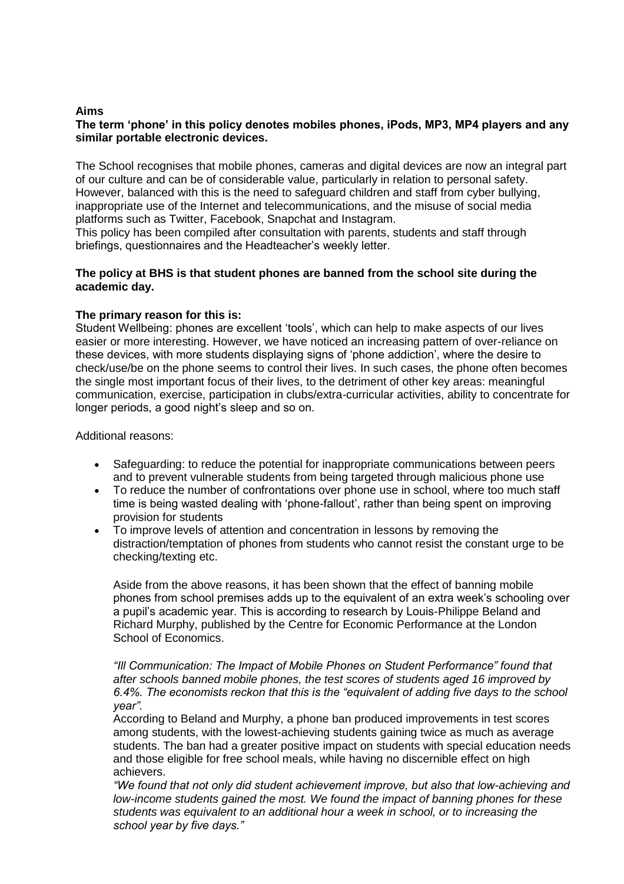#### **Aims**

#### **The term 'phone' in this policy denotes mobiles phones, iPods, MP3, MP4 players and any similar portable electronic devices.**

The School recognises that mobile phones, cameras and digital devices are now an integral part of our culture and can be of considerable value, particularly in relation to personal safety. However, balanced with this is the need to safeguard children and staff from cyber bullying, inappropriate use of the Internet and telecommunications, and the misuse of social media platforms such as Twitter, Facebook, Snapchat and Instagram.

This policy has been compiled after consultation with parents, students and staff through briefings, questionnaires and the Headteacher's weekly letter.

#### **The policy at BHS is that student phones are banned from the school site during the academic day.**

#### **The primary reason for this is:**

Student Wellbeing: phones are excellent 'tools', which can help to make aspects of our lives easier or more interesting. However, we have noticed an increasing pattern of over-reliance on these devices, with more students displaying signs of 'phone addiction', where the desire to check/use/be on the phone seems to control their lives. In such cases, the phone often becomes the single most important focus of their lives, to the detriment of other key areas: meaningful communication, exercise, participation in clubs/extra-curricular activities, ability to concentrate for longer periods, a good night's sleep and so on.

Additional reasons:

- Safeguarding: to reduce the potential for inappropriate communications between peers and to prevent vulnerable students from being targeted through malicious phone use
- To reduce the number of confrontations over phone use in school, where too much staff time is being wasted dealing with 'phone-fallout', rather than being spent on improving provision for students
- To improve levels of attention and concentration in lessons by removing the distraction/temptation of phones from students who cannot resist the constant urge to be checking/texting etc.

Aside from the above reasons, it has been shown that the effect of banning mobile phones from school premises adds up to the equivalent of an extra week's schooling over a pupil's academic year. This is according to research by Louis-Philippe Beland and Richard Murphy, published by the Centre for Economic Performance at the London School of Economics.

*"Ill Communication: The Impact of Mobile Phones on Student Performance" found that after schools banned mobile phones, the test scores of students aged 16 improved by 6.4%. The economists reckon that this is the "equivalent of adding five days to the school year".*

According to Beland and Murphy, a phone ban produced improvements in test scores among students, with the lowest-achieving students gaining twice as much as average students. The ban had a greater positive impact on students with special education needs and those eligible for free school meals, while having no discernible effect on high achievers.

*"We found that not only did student achievement improve, but also that low-achieving and low-income students gained the most. We found the impact of banning phones for these students was equivalent to an additional hour a week in school, or to increasing the school year by five days."*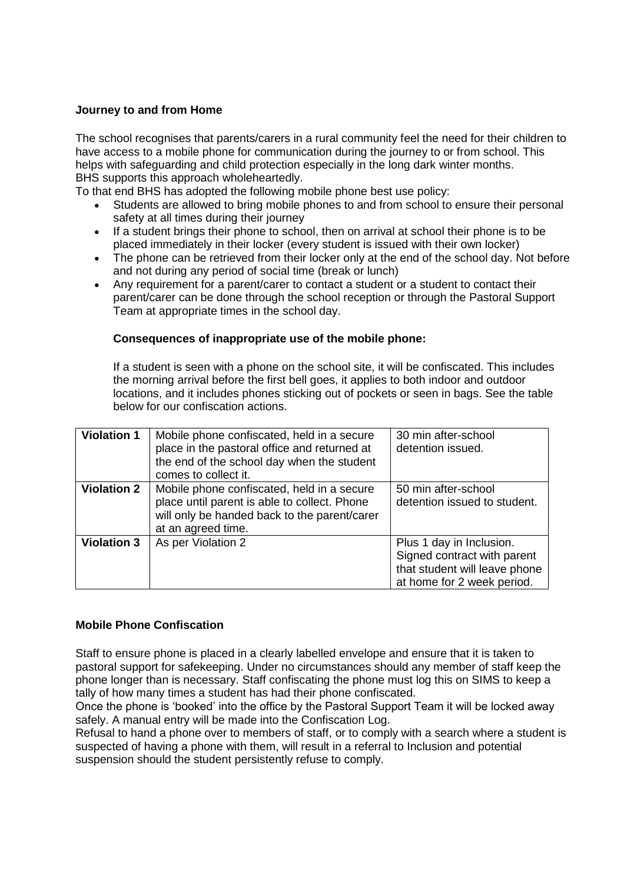#### **Journey to and from Home**

The school recognises that parents/carers in a rural community feel the need for their children to have access to a mobile phone for communication during the journey to or from school. This helps with safeguarding and child protection especially in the long dark winter months. BHS supports this approach wholeheartedly.

To that end BHS has adopted the following mobile phone best use policy:

- Students are allowed to bring mobile phones to and from school to ensure their personal safety at all times during their journey
- If a student brings their phone to school, then on arrival at school their phone is to be placed immediately in their locker (every student is issued with their own locker)
- The phone can be retrieved from their locker only at the end of the school day. Not before and not during any period of social time (break or lunch)
- Any requirement for a parent/carer to contact a student or a student to contact their parent/carer can be done through the school reception or through the Pastoral Support Team at appropriate times in the school day.

#### **Consequences of inappropriate use of the mobile phone:**

If a student is seen with a phone on the school site, it will be confiscated. This includes the morning arrival before the first bell goes, it applies to both indoor and outdoor locations, and it includes phones sticking out of pockets or seen in bags. See the table below for our confiscation actions.

| <b>Violation 1</b> | Mobile phone confiscated, held in a secure<br>place in the pastoral office and returned at<br>the end of the school day when the student<br>comes to collect it. | 30 min after-school<br>detention issued.                                                                               |
|--------------------|------------------------------------------------------------------------------------------------------------------------------------------------------------------|------------------------------------------------------------------------------------------------------------------------|
| <b>Violation 2</b> | Mobile phone confiscated, held in a secure<br>place until parent is able to collect. Phone<br>will only be handed back to the parent/carer<br>at an agreed time. | 50 min after-school<br>detention issued to student.                                                                    |
| <b>Violation 3</b> | As per Violation 2                                                                                                                                               | Plus 1 day in Inclusion.<br>Signed contract with parent<br>that student will leave phone<br>at home for 2 week period. |

#### **Mobile Phone Confiscation**

Staff to ensure phone is placed in a clearly labelled envelope and ensure that it is taken to pastoral support for safekeeping. Under no circumstances should any member of staff keep the phone longer than is necessary. Staff confiscating the phone must log this on SIMS to keep a tally of how many times a student has had their phone confiscated.

Once the phone is 'booked' into the office by the Pastoral Support Team it will be locked away safely. A manual entry will be made into the Confiscation Log.

Refusal to hand a phone over to members of staff, or to comply with a search where a student is suspected of having a phone with them, will result in a referral to Inclusion and potential suspension should the student persistently refuse to comply.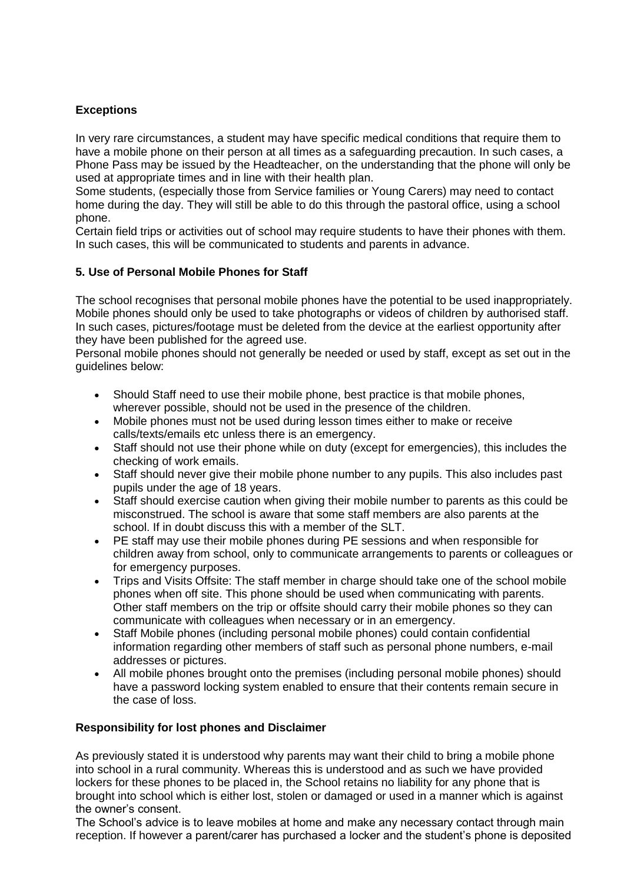# **Exceptions**

In very rare circumstances, a student may have specific medical conditions that require them to have a mobile phone on their person at all times as a safeguarding precaution. In such cases, a Phone Pass may be issued by the Headteacher, on the understanding that the phone will only be used at appropriate times and in line with their health plan.

Some students, (especially those from Service families or Young Carers) may need to contact home during the day. They will still be able to do this through the pastoral office, using a school phone.

Certain field trips or activities out of school may require students to have their phones with them. In such cases, this will be communicated to students and parents in advance.

# **5. Use of Personal Mobile Phones for Staff**

The school recognises that personal mobile phones have the potential to be used inappropriately. Mobile phones should only be used to take photographs or videos of children by authorised staff. In such cases, pictures/footage must be deleted from the device at the earliest opportunity after they have been published for the agreed use.

Personal mobile phones should not generally be needed or used by staff, except as set out in the guidelines below:

- Should Staff need to use their mobile phone, best practice is that mobile phones, wherever possible, should not be used in the presence of the children.
- Mobile phones must not be used during lesson times either to make or receive calls/texts/emails etc unless there is an emergency.
- Staff should not use their phone while on duty (except for emergencies), this includes the checking of work emails.
- Staff should never give their mobile phone number to any pupils. This also includes past pupils under the age of 18 years.
- Staff should exercise caution when giving their mobile number to parents as this could be misconstrued. The school is aware that some staff members are also parents at the school. If in doubt discuss this with a member of the SLT.
- PE staff may use their mobile phones during PE sessions and when responsible for children away from school, only to communicate arrangements to parents or colleagues or for emergency purposes.
- Trips and Visits Offsite: The staff member in charge should take one of the school mobile phones when off site. This phone should be used when communicating with parents. Other staff members on the trip or offsite should carry their mobile phones so they can communicate with colleagues when necessary or in an emergency.
- Staff Mobile phones (including personal mobile phones) could contain confidential information regarding other members of staff such as personal phone numbers, e-mail addresses or pictures.
- All mobile phones brought onto the premises (including personal mobile phones) should have a password locking system enabled to ensure that their contents remain secure in the case of loss.

# **Responsibility for lost phones and Disclaimer**

As previously stated it is understood why parents may want their child to bring a mobile phone into school in a rural community. Whereas this is understood and as such we have provided lockers for these phones to be placed in, the School retains no liability for any phone that is brought into school which is either lost, stolen or damaged or used in a manner which is against the owner's consent.

The School's advice is to leave mobiles at home and make any necessary contact through main reception. If however a parent/carer has purchased a locker and the student's phone is deposited